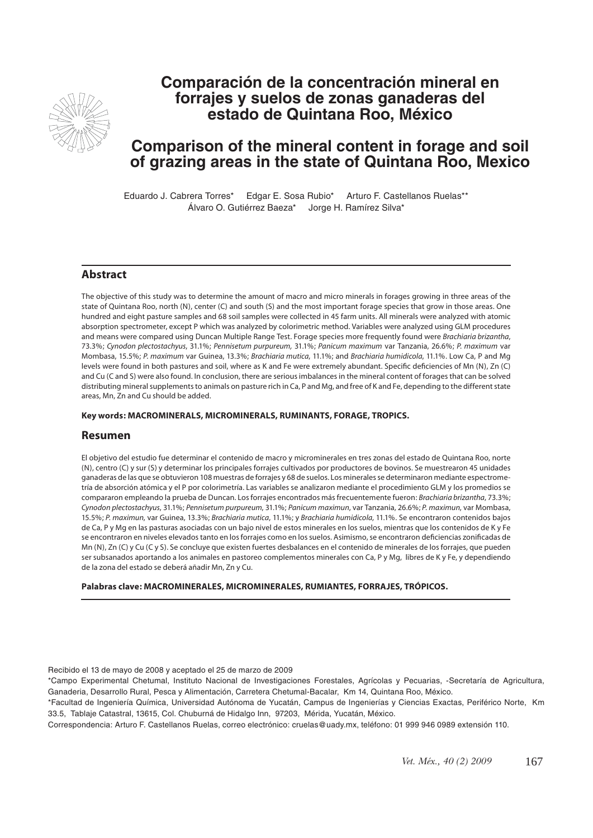

# **Comparación de la concentración mineral en forrajes y suelos de zonas ganaderas del estado de Quintana Roo, México**

# **Comparison of the mineral content in forage and soil of grazing areas in the state of Quintana Roo, Mexico**

Eduardo J. Cabrera Torres\* Edgar E. Sosa Rubio\* Arturo F. Castellanos Ruelas\*\* Álvaro O. Gutiérrez Baeza\* Jorge H. Ramírez Silva\*

## **Abstract**

The objective of this study was to determine the amount of macro and micro minerals in forages growing in three areas of the state of Quintana Roo, north (N), center (C) and south (S) and the most important forage species that grow in those areas. One hundred and eight pasture samples and 68 soil samples were collected in 45 farm units. All minerals were analyzed with atomic absorption spectrometer, except P which was analyzed by colorimetric method. Variables were analyzed using GLM procedures and means were compared using Duncan Multiple Range Test. Forage species more frequently found were *Brachiaria brizantha*, 73.3%; *Cynodon plectostachyus*, 31.1%; *Pennisetum purpureum,* 31.1%; *Panicum maximum* var Tanzania, 26.6%; *P. maximum* var Mombasa, 15.5%; *P. maximum* var Guinea, 13.3%; *Brachiaria mutica*, 11.1%; and *Brachiaria humidicola*, 11.1%. Low Ca, P and Mg levels were found in both pastures and soil, where as K and Fe were extremely abundant. Specific deficiencies of Mn (N), Zn (C) and Cu (C and S) were also found. In conclusion, there are serious imbalances in the mineral content of forages that can be solved distributing mineral supplements to animals on pasture rich in Ca, P and Mg, and free of K and Fe, depending to the different state areas, Mn, Zn and Cu should be added.

#### **Key words: MACROMINERALS, MICROMINERALS, RUMINANTS, FORAGE, TROPICS.**

#### **Resumen**

El objetivo del estudio fue determinar el contenido de macro y microminerales en tres zonas del estado de Quintana Roo, norte (N), centro (C) y sur (S) y determinar los principales forrajes cultivados por productores de bovinos. Se muestrearon 45 unidades ganaderas de las que se obtuvieron 108 muestras de forrajes y 68 de suelos. Los minerales se determinaron mediante espectrometría de absorción atómica y el P por colorimetría. Las variables se analizaron mediante el procedimiento GLM y los promedios se compararon empleando la prueba de Duncan. Los forrajes encontrados más frecuentemente fueron: *Brachiaria brizantha*, 73.3%; *Cynodon plectostachyus*, 31.1%; *Pennisetum purpureum*, 31.1%; *Panicum maximun*, var Tanzania, 26.6%; *P. maximun*, var Mombasa, 15.5%; *P. maximun*, var Guinea, 13.3%; *Brachiaria mutica*, 11.1%; y *Brachiaria humidicola*, 11.1%. Se encontraron contenidos bajos de Ca, P y Mg en las pasturas asociadas con un bajo nivel de estos minerales en los suelos, mientras que los contenidos de K y Fe se encontraron en niveles elevados tanto en los forrajes como en los suelos. Asimismo, se encontraron deficiencias zonificadas de Mn (N), Zn (C) y Cu (C y S). Se concluye que existen fuertes desbalances en el contenido de minerales de los forrajes, que pueden ser subsanados aportando a los animales en pastoreo complementos minerales con Ca, P y Mg, libres de K y Fe, y dependiendo de la zona del estado se deberá añadir Mn, Zn y Cu.

**Palabras clave: MACROMINERALES, MICROMINERALES, RUMIANTES, FORRAJES, TRÓPICOS.** 

Recibido el 13 de mayo de 2008 y aceptado el 25 de marzo de 2009

\*Campo Experimental Chetumal, Instituto Nacional de Investigaciones Forestales, Agrícolas y Pecuarias, -Secretaría de Agricultura, Ganaderia, Desarrollo Rural, Pesca y Alimentación, Carretera Chetumal-Bacalar, Km 14, Quintana Roo, México.

\*Facultad de Ingeniería Química, Universidad Autónoma de Yucatán, Campus de Ingenierías y Ciencias Exactas, Periférico Norte, Km 33.5, Tablaje Catastral, 13615, Col. Chuburná de Hidalgo Inn, 97203, Mérida, Yucatán, México.

Correspondencia: Arturo F. Castellanos Ruelas, correo electrónico: cruelas@uady.mx, teléfono: 01 999 946 0989 extensión 110.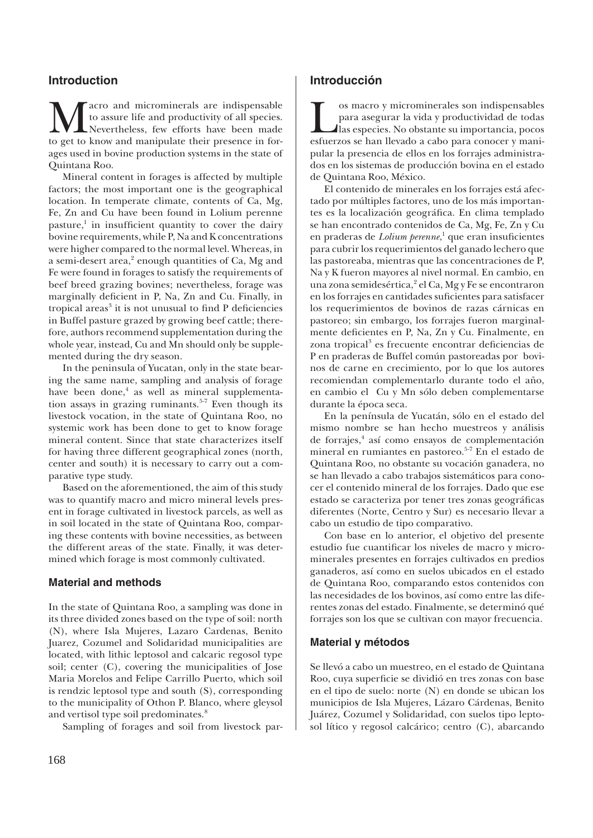## **Introduction**

**M** acro and microminerals are indispensable to assure life and productivity of all species.<br>to get to know and manipulate their presence in forto assure life and productivity of all species. Nevertheless, few efforts have been made ages used in bovine production systems in the state of Quintana Roo.

Mineral content in forages is affected by multiple factors; the most important one is the geographical location. In temperate climate, contents of Ca, Mg, Fe, Zn and Cu have been found in Lolium perenne pasture, $\frac{1}{1}$  in insufficient quantity to cover the dairy bovine requirements, while P, Na and K concentrations were higher compared to the normal level. Whereas, in a semi-desert area,<sup>2</sup> enough quantities of Ca, Mg and Fe were found in forages to satisfy the requirements of beef breed grazing bovines; nevertheless, forage was marginally deficient in P, Na, Zn and Cu. Finally, in tropical areas<sup>3</sup> it is not unusual to find P deficiencies in Buffel pasture grazed by growing beef cattle; therefore, authors recommend supplementation during the whole year, instead, Cu and Mn should only be supplemented during the dry season.

In the peninsula of Yucatan, only in the state bearing the same name, sampling and analysis of forage have been done,<sup>4</sup> as well as mineral supplementation assays in grazing ruminants.<sup>5-7</sup> Even though its livestock vocation, in the state of Quintana Roo, no systemic work has been done to get to know forage mineral content. Since that state characterizes itself for having three different geographical zones (north, center and south) it is necessary to carry out a comparative type study.

Based on the aforementioned, the aim of this study was to quantify macro and micro mineral levels present in forage cultivated in livestock parcels, as well as in soil located in the state of Quintana Roo, comparing these contents with bovine necessities, as between the different areas of the state. Finally, it was determined which forage is most commonly cultivated.

#### **Material and methods**

In the state of Quintana Roo, a sampling was done in its three divided zones based on the type of soil: north (N), where Isla Mujeres, Lazaro Cardenas, Benito Juarez, Cozumel and Solidaridad municipalities are located, with lithic leptosol and calcaric regosol type soil; center (C), covering the municipalities of Jose Maria Morelos and Felipe Carrillo Puerto, which soil is rendzic leptosol type and south (S), corresponding to the municipality of Othon P. Blanco, where gleysol and vertisol type soil predominates.<sup>8</sup>

Sampling of forages and soil from livestock par-

#### **Introducción**

Solomato y microminerales son indispensables<br>para asegurar la vida y productividad de todas<br>las especies. No obstante su importancia, pocos<br>esfuerzos se han llevado a cabo para conocer y manipara asegurar la vida y productividad de todas las especies. No obstante su importancia, pocos esfuerzos se han llevado a cabo para conocer y manipular la presencia de ellos en los forrajes administrados en los sistemas de producción bovina en el estado de Quintana Roo, México.

El contenido de minerales en los forrajes está afectado por múltiples factores, uno de los más importantes es la localización geográfica. En clima templado se han encontrado contenidos de Ca, Mg, Fe, Zn y Cu en praderas de *Lolium perenne*,<sup>1</sup> que eran insuficientes para cubrir los requerimientos del ganado lechero que las pastoreaba, mientras que las concentraciones de P, Na y K fueron mayores al nivel normal. En cambio, en una zona semidesértica,<sup>2</sup> el Ca, Mg y Fe se encontraron en los forrajes en cantidades suficientes para satisfacer los requerimientos de bovinos de razas cárnicas en pastoreo; sin embargo, los forrajes fueron marginalmente deficientes en P, Na, Zn y Cu. Finalmente, en zona tropical<sup>3</sup> es frecuente encontrar deficiencias de P en praderas de Buffel común pastoreadas por bovinos de carne en crecimiento, por lo que los autores recomiendan complementarlo durante todo el año, en cambio el Cu y Mn sólo deben complementarse durante la época seca.

En la península de Yucatán, sólo en el estado del mismo nombre se han hecho muestreos y análisis de forrajes,<sup>4</sup> así como ensayos de complementación mineral en rumiantes en pastoreo.5-7 En el estado de Quintana Roo, no obstante su vocación ganadera, no se han llevado a cabo trabajos sistemáticos para conocer el contenido mineral de los forrajes. Dado que ese estado se caracteriza por tener tres zonas geográficas diferentes (Norte, Centro y Sur) es necesario llevar a cabo un estudio de tipo comparativo.

Con base en lo anterior, el objetivo del presente estudio fue cuantificar los niveles de macro y microminerales presentes en forrajes cultivados en predios ganaderos, así como en suelos ubicados en el estado de Quintana Roo, comparando estos contenidos con las necesidades de los bovinos, así como entre las diferentes zonas del estado. Finalmente, se determinó qué forrajes son los que se cultivan con mayor frecuencia.

#### **Material y métodos**

Se llevó a cabo un muestreo, en el estado de Quintana Roo, cuya superficie se dividió en tres zonas con base en el tipo de suelo: norte (N) en donde se ubican los municipios de Isla Mujeres, Lázaro Cárdenas, Benito Juárez, Cozumel y Solidaridad, con suelos tipo leptosol lítico y regosol calcárico; centro (C), abarcando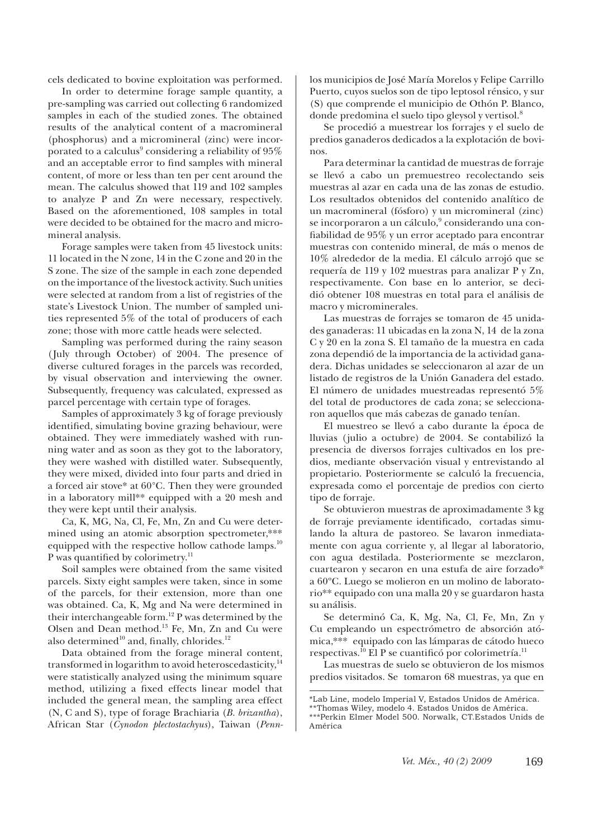cels dedicated to bovine exploitation was performed.

In order to determine forage sample quantity, a pre-sampling was carried out collecting 6 randomized samples in each of the studied zones. The obtained results of the analytical content of a macromineral (phosphorus) and a micromineral (zinc) were incorporated to a calculus $^9$  considering a reliability of  $95\%$ and an acceptable error to find samples with mineral content, of more or less than ten per cent around the mean. The calculus showed that 119 and 102 samples to analyze P and Zn were necessary, respectively. Based on the aforementioned, 108 samples in total were decided to be obtained for the macro and micromineral analysis.

Forage samples were taken from 45 livestock units: 11 located in the N zone, 14 in the C zone and 20 in the S zone. The size of the sample in each zone depended on the importance of the livestock activity. Such unities were selected at random from a list of registries of the state's Livestock Union. The number of sampled unities represented 5% of the total of producers of each zone; those with more cattle heads were selected.

Sampling was performed during the rainy season (July through October) of 2004. The presence of diverse cultured forages in the parcels was recorded, by visual observation and interviewing the owner. Subsequently, frequency was calculated, expressed as parcel percentage with certain type of forages.

Samples of approximately 3 kg of forage previously identified, simulating bovine grazing behaviour, were obtained. They were immediately washed with running water and as soon as they got to the laboratory, they were washed with distilled water. Subsequently, they were mixed, divided into four parts and dried in a forced air stove\* at 60°C. Then they were grounded in a laboratory mill\*\* equipped with a 20 mesh and they were kept until their analysis.

Ca, K, MG, Na, Cl, Fe, Mn, Zn and Cu were determined using an atomic absorption spectrometer,\*\*\* equipped with the respective hollow cathode lamps.<sup>10</sup> P was quantified by colorimetry.<sup>11</sup>

Soil samples were obtained from the same visited parcels. Sixty eight samples were taken, since in some of the parcels, for their extension, more than one was obtained. Ca, K, Mg and Na were determined in their interchangeable form.<sup>12</sup> P was determined by the Olsen and Dean method.13 Fe, Mn, Zn and Cu were also determined<sup>10</sup> and, finally, chlorides.<sup>12</sup>

Data obtained from the forage mineral content, transformed in logarithm to avoid heteroscedasticity, $14$ were statistically analyzed using the minimum square method, utilizing a fixed effects linear model that included the general mean, the sampling area effect (N, C and S), type of forage Brachiaria (*B. brizantha*), African Star (*Cynodon plectostachyus*), Taiwan (*Penn-* los municipios de José María Morelos y Felipe Carrillo Puerto, cuyos suelos son de tipo leptosol rénsico, y sur (S) que comprende el municipio de Othón P. Blanco, donde predomina el suelo tipo gleysol y vertisol.<sup>8</sup>

Se procedió a muestrear los forrajes y el suelo de predios ganaderos dedicados a la explotación de bovinos.

Para determinar la cantidad de muestras de forraje se llevó a cabo un premuestreo recolectando seis muestras al azar en cada una de las zonas de estudio. Los resultados obtenidos del contenido analítico de un macromineral (fósforo) y un micromineral (zinc) se incorporaron a un cálculo,<sup>9</sup> considerando una confiabilidad de 95% y un error aceptado para encontrar muestras con contenido mineral, de más o menos de 10% alrededor de la media. El cálculo arrojó que se requería de 119 y 102 muestras para analizar P y Zn, respectivamente. Con base en lo anterior, se decidió obtener 108 muestras en total para el análisis de macro y microminerales.

Las muestras de forrajes se tomaron de 45 unidades ganaderas: 11 ubicadas en la zona N, 14 de la zona C y 20 en la zona S. El tamaño de la muestra en cada zona dependió de la importancia de la actividad ganadera. Dichas unidades se seleccionaron al azar de un listado de registros de la Unión Ganadera del estado. El número de unidades muestreadas representó 5% del total de productores de cada zona; se seleccionaron aquellos que más cabezas de ganado tenían.

El muestreo se llevó a cabo durante la época de lluvias (julio a octubre) de 2004. Se contabilizó la presencia de diversos forrajes cultivados en los predios, mediante observación visual y entrevistando al propietario. Posteriormente se calculó la frecuencia, expresada como el porcentaje de predios con cierto tipo de forraje.

Se obtuvieron muestras de aproximadamente 3 kg de forraje previamente identificado, cortadas simulando la altura de pastoreo. Se lavaron inmediatamente con agua corriente y, al llegar al laboratorio, con agua destilada. Posteriormente se mezclaron, cuartearon y secaron en una estufa de aire forzado\* a 60ºC. Luego se molieron en un molino de laboratorio\*\* equipado con una malla 20 y se guardaron hasta su análisis.

Se determinó Ca, K, Mg, Na, Cl, Fe, Mn, Zn y Cu empleando un espectrómetro de absorción atómica,\*\*\* equipado con las lámparas de cátodo hueco respectivas.<sup>10</sup> El P se cuantificó por colorimetría.<sup>11</sup>

Las muestras de suelo se obtuvieron de los mismos predios visitados. Se tomaron 68 muestras, ya que en

<sup>\*</sup>Lab Line, modelo Imperial V, Estados Unidos de América. \*\*Thomas Wiley, modelo 4. Estados Unidos de América. \*\*\*Perkin Elmer Model 500. Norwalk, CT.Estados Unids de América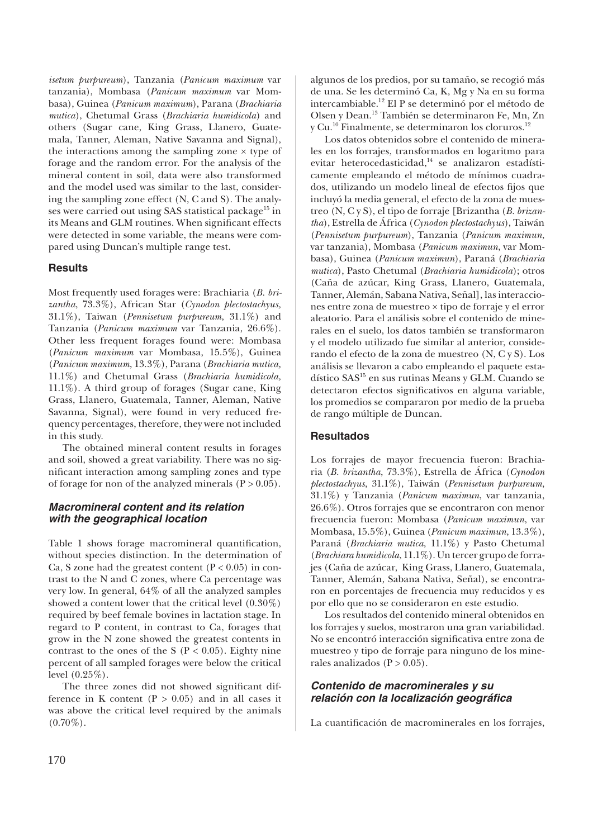*isetum purpureum*), Tanzania (*Panicum maximum* var tanzania), Mombasa (*Panicum maximum* var Mombasa), Guinea (*Panicum maximum*), Parana (*Brachiaria mutica*), Chetumal Grass (*Brachiaria humidicola*) and others (Sugar cane, King Grass, Llanero, Guatemala, Tanner, Aleman, Native Savanna and Signal), the interactions among the sampling zone  $\times$  type of forage and the random error. For the analysis of the mineral content in soil, data were also transformed and the model used was similar to the last, considering the sampling zone effect (N, C and S). The analyses were carried out using SAS statistical package<sup>15</sup> in its Means and GLM routines. When significant effects were detected in some variable, the means were compared using Duncan's multiple range test.

## **Results**

Most frequently used forages were: Brachiaria (*B. brizantha*, 73.3%), African Star (*Cynodon plectostachyus,* 31.1%), Taiwan (*Pennisetum purpureum*, 31.1%) and Tanzania (*Panicum maximum* var Tanzania, 26.6%). Other less frequent forages found were: Mombasa (*Panicum maximum* var Mombasa, 15.5%), Guinea (*Panicum maximum*, 13.3%), Parana (*Brachiaria mutica,* 11.1%) and Chetumal Grass (*Brachiaria humidicola,*  11.1%). A third group of forages (Sugar cane, King Grass, Llanero, Guatemala, Tanner, Aleman, Native Savanna, Signal), were found in very reduced frequency percentages, therefore, they were not included in this study.

The obtained mineral content results in forages and soil, showed a great variability. There was no significant interaction among sampling zones and type of forage for non of the analyzed minerals  $(P > 0.05)$ .

#### *Macromineral content and its relation with the geographical location*

Table 1 shows forage macromineral quantification, without species distinction. In the determination of Ca, S zone had the greatest content  $(P < 0.05)$  in contrast to the N and C zones, where Ca percentage was very low. In general, 64% of all the analyzed samples showed a content lower that the critical level (0.30%) required by beef female bovines in lactation stage. In regard to P content, in contrast to Ca, forages that grow in the N zone showed the greatest contents in contrast to the ones of the S ( $P < 0.05$ ). Eighty nine percent of all sampled forages were below the critical level (0.25%).

The three zones did not showed significant difference in K content ( $P > 0.05$ ) and in all cases it was above the critical level required by the animals  $(0.70\%).$ 

algunos de los predios, por su tamaño, se recogió más de una. Se les determinó Ca, K, Mg y Na en su forma intercambiable.12 El P se determinó por el método de Olsen y Dean.13 También se determinaron Fe, Mn, Zn y Cu.10 Finalmente, se determinaron los cloruros.12

Los datos obtenidos sobre el contenido de minerales en los forrajes, transformados en logaritmo para evitar heterocedasticidad,<sup>14</sup> se analizaron estadísticamente empleando el método de mínimos cuadrados, utilizando un modelo lineal de efectos fijos que incluyó la media general, el efecto de la zona de muestreo (N, C y S), el tipo de forraje [Brizantha (*B. brizantha*), Estrella de África (*Cynodon plectostachyus*), Taiwán (*Pennisetum purpureum*), Tanzania (*Panicum maximun*, var tanzania), Mombasa (*Panicum maximun*, var Mombasa), Guinea (*Panicum maximun*), Paraná (*Brachiaria mutica*), Pasto Chetumal (*Brachiaria humidicola*); otros (Caña de azúcar, King Grass, Llanero, Guatemala, Tanner, Alemán, Sabana Nativa, Señal], las interacciones entre zona de muestreo × tipo de forraje y el error aleatorio. Para el análisis sobre el contenido de minerales en el suelo, los datos también se transformaron y el modelo utilizado fue similar al anterior, considerando el efecto de la zona de muestreo (N, C y S). Los análisis se llevaron a cabo empleando el paquete estadístico SAS<sup>15</sup> en sus rutinas Means y GLM. Cuando se detectaron efectos significativos en alguna variable, los promedios se compararon por medio de la prueba de rango múltiple de Duncan.

## **Resultados**

Los forrajes de mayor frecuencia fueron: Brachiaria (*B. brizantha*, 73.3%), Estrella de África (*Cynodon plectostachyus*, 31.1%), Taiwán (*Pennisetum purpureum*, 31.1%) y Tanzania (*Panicum maximun*, var tanzania, 26.6%). Otros forrajes que se encontraron con menor frecuencia fueron: Mombasa (*Panicum maximun*, var Mombasa, 15.5%), Guinea (*Panicum maximun*, 13.3%), Paraná (*Brachiaria mutica*, 11.1%) y Pasto Chetumal (*Brachiara humidicola*, 11.1%). Un tercer grupo de forrajes (Caña de azúcar, King Grass, Llanero, Guatemala, Tanner, Alemán, Sabana Nativa, Señal), se encontraron en porcentajes de frecuencia muy reducidos y es por ello que no se consideraron en este estudio.

Los resultados del contenido mineral obtenidos en los forrajes y suelos, mostraron una gran variabilidad. No se encontró interacción significativa entre zona de muestreo y tipo de forraje para ninguno de los minerales analizados ( $P > 0.05$ ).

## *Contenido de macrominerales y su relación con la localización geográfi ca*

La cuantificación de macrominerales en los forrajes,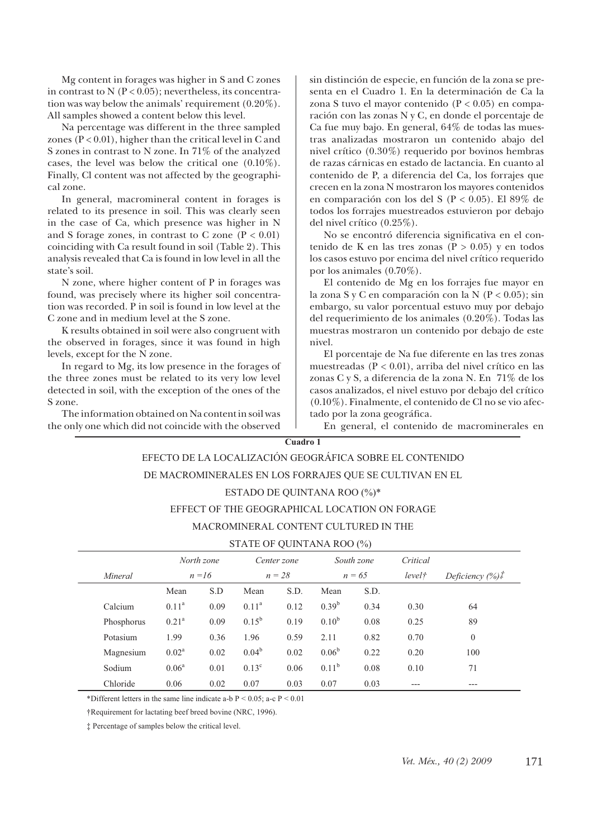Mg content in forages was higher in S and C zones in contrast to  $N$  ( $P < 0.05$ ); nevertheless, its concentration was way below the animals' requirement (0.20%). All samples showed a content below this level.

Na percentage was different in the three sampled zones ( $P < 0.01$ ), higher than the critical level in C and S zones in contrast to N zone. In 71% of the analyzed cases, the level was below the critical one (0.10%). Finally, Cl content was not affected by the geographical zone.

In general, macromineral content in forages is related to its presence in soil. This was clearly seen in the case of Ca, which presence was higher in N and S forage zones, in contrast to C zone  $(P < 0.01)$ coinciding with Ca result found in soil (Table 2). This analysis revealed that Ca is found in low level in all the state's soil.

N zone, where higher content of P in forages was found, was precisely where its higher soil concentration was recorded. P in soil is found in low level at the C zone and in medium level at the S zone.

K results obtained in soil were also congruent with the observed in forages, since it was found in high levels, except for the N zone.

In regard to Mg, its low presence in the forages of the three zones must be related to its very low level detected in soil, with the exception of the ones of the S zone.

The information obtained on Na content in soil was the only one which did not coincide with the observed sin distinción de especie, en función de la zona se presenta en el Cuadro 1. En la determinación de Ca la zona S tuvo el mayor contenido (P < 0.05) en comparación con las zonas N y C, en donde el porcentaje de Ca fue muy bajo. En general, 64% de todas las muestras analizadas mostraron un contenido abajo del nivel crítico (0.30%) requerido por bovinos hembras de razas cárnicas en estado de lactancia. En cuanto al contenido de P, a diferencia del Ca, los forrajes que crecen en la zona N mostraron los mayores contenidos en comparación con los del S (P < 0.05). El 89% de todos los forrajes muestreados estuvieron por debajo del nivel crítico (0.25%).

No se encontró diferencia significativa en el contenido de K en las tres zonas ( $P > 0.05$ ) y en todos los casos estuvo por encima del nivel crítico requerido por los animales (0.70%).

El contenido de Mg en los forrajes fue mayor en la zona S y C en comparación con la N  $(P < 0.05)$ ; sin embargo, su valor porcentual estuvo muy por debajo del requerimiento de los animales (0.20%). Todas las muestras mostraron un contenido por debajo de este nivel.

El porcentaje de Na fue diferente en las tres zonas muestreadas (P < 0.01), arriba del nivel crítico en las zonas C y S, a diferencia de la zona N. En 71% de los casos analizados, el nivel estuvo por debajo del crítico (0.10%). Finalmente, el contenido de Cl no se vio afectado por la zona geográfica.

En general, el contenido de macrominerales en

#### **Cuadro 1**

# EFECTO DE LA LOCALIZACIÓN GEOGRÁFICA SOBRE EL CONTENIDO DE MACROMINERALES EN LOS FORRAJES QUE SE CULTIVAN EN EL ESTADO DE QUINTANA ROO (%)\*

#### EFFECT OF THE GEOGRAPHICAL LOCATION ON FORAGE

#### MACROMINERAL CONTENT CULTURED IN THE

#### STATE OF QUINTANA ROO (%)

|            |                | North zone<br>Center zone |                   |      | South zone     |      | Critical           |                                |
|------------|----------------|---------------------------|-------------------|------|----------------|------|--------------------|--------------------------------|
| Mineral    | $n = 16$       |                           | $n = 28$          |      | $n = 65$       |      | level <sub>†</sub> | Deficiency $(\%)$ <sup>T</sup> |
|            | Mean           | S.D                       | Mean              | S.D. | Mean           | S.D. |                    |                                |
| Calcium    | $0.11^{\rm a}$ | 0.09                      | 0.11 <sup>a</sup> | 0.12 | $0.39^{b}$     | 0.34 | 0.30               | 64                             |
| Phosphorus | $0.21^{\rm a}$ | 0.09                      | $0.15^{b}$        | 0.19 | $0.10^{b}$     | 0.08 | 0.25               | 89                             |
| Potasium   | 1.99           | 0.36                      | 1.96              | 0.59 | 2.11           | 0.82 | 0.70               | $\mathbf{0}$                   |
| Magnesium  | $0.02^{\rm a}$ | 0.02                      | $0.04^b$          | 0.02 | $0.06^{\rm b}$ | 0.22 | 0.20               | 100                            |
| Sodium     | $0.06^{\rm a}$ | 0.01                      | $0.13^{\circ}$    | 0.06 | $0.11^{b}$     | 0.08 | 0.10               | 71                             |
| Chloride   | 0.06           | 0.02                      | 0.07              | 0.03 | 0.07           | 0.03 |                    | ---                            |

\*Different letters in the same line indicate a-b  $P < 0.05$ ; a-c  $P < 0.01$ 

†Requirement for lactating beef breed bovine (NRC, 1996).

‡ Percentage of samples below the critical level.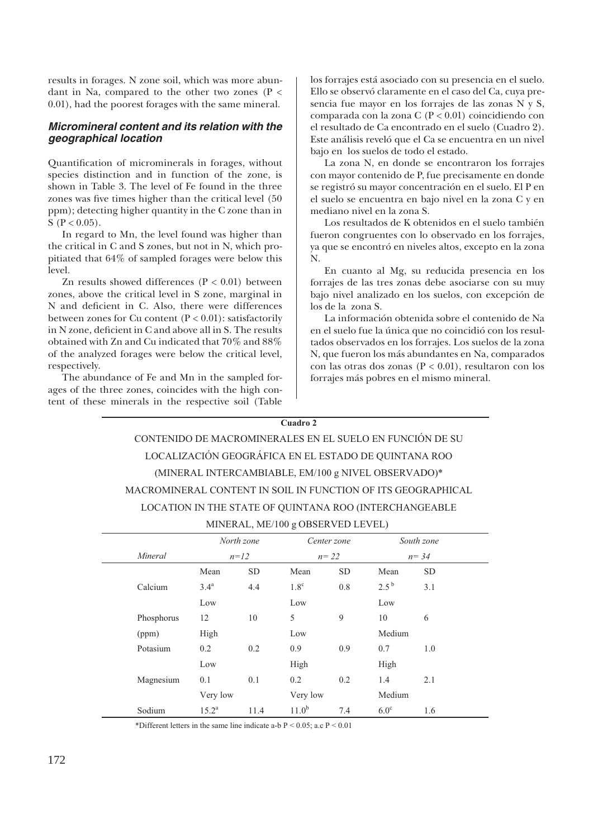results in forages. N zone soil, which was more abundant in Na, compared to the other two zones ( $P <$ 0.01), had the poorest forages with the same mineral.

## *Micromineral content and its relation with the geographical location*

Quantification of microminerals in forages, without species distinction and in function of the zone, is shown in Table 3. The level of Fe found in the three zones was five times higher than the critical level (50 ppm); detecting higher quantity in the C zone than in S ( $P < 0.05$ ).

In regard to Mn, the level found was higher than the critical in C and S zones, but not in N, which propitiated that 64% of sampled forages were below this level.

Zn results showed differences  $(P < 0.01)$  between zones, above the critical level in S zone, marginal in N and deficient in C. Also, there were differences between zones for Cu content  $(P < 0.01)$ : satisfactorily in N zone, deficient in C and above all in S. The results obtained with Zn and Cu indicated that 70% and 88% of the analyzed forages were below the critical level, respectively.

The abundance of Fe and Mn in the sampled forages of the three zones, coincides with the high content of these minerals in the respective soil (Table

los forrajes está asociado con su presencia en el suelo. Ello se observó claramente en el caso del Ca, cuya presencia fue mayor en los forrajes de las zonas N y S, comparada con la zona C (P < 0.01) coincidiendo con el resultado de Ca encontrado en el suelo (Cuadro 2). Este análisis reveló que el Ca se encuentra en un nivel bajo en los suelos de todo el estado.

La zona N, en donde se encontraron los forrajes con mayor contenido de P, fue precisamente en donde se registró su mayor concentración en el suelo. El P en el suelo se encuentra en bajo nivel en la zona C y en mediano nivel en la zona S.

Los resultados de K obtenidos en el suelo también fueron congruentes con lo observado en los forrajes, ya que se encontró en niveles altos, excepto en la zona N.

En cuanto al Mg, su reducida presencia en los forrajes de las tres zonas debe asociarse con su muy bajo nivel analizado en los suelos, con excepción de los de la zona S.

La información obtenida sobre el contenido de Na en el suelo fue la única que no coincidió con los resultados observados en los forrajes. Los suelos de la zona N, que fueron los más abundantes en Na, comparados con las otras dos zonas (P < 0.01), resultaron con los forrajes más pobres en el mismo mineral.

#### **Cuadro 2**

| CONTENIDO DE MACROMINERALES EN EL SUELO EN FUNCIÓN DE SU     |
|--------------------------------------------------------------|
| LOCALIZACIÓN GEOGRÁFICA EN EL ESTADO DE QUINTANA ROO         |
| (MINERAL INTERCAMBIABLE, EM/100 g NIVEL OBSERVADO)*          |
| MACROMINERAL CONTENT IN SOIL IN FUNCTION OF ITS GEOGRAPHICAL |
| LOCATION IN THE STATE OF QUINTANA ROO (INTERCHANGEABLE       |
| LOUDLI LOUGO ODCEDIED LEUEL                                  |

|  |  |  | MINERAL, ME/100 g OBSERVED LEVEL) |
|--|--|--|-----------------------------------|
|--|--|--|-----------------------------------|

|            | North zone       |           |                  | Center zone |             | South zone |  |
|------------|------------------|-----------|------------------|-------------|-------------|------------|--|
| Mineral    | $n=12$           |           |                  | $n = 22$    |             | $n = 34$   |  |
|            | Mean             | <b>SD</b> | Mean             | <b>SD</b>   | Mean        | <b>SD</b>  |  |
| Calcium    | 3.4 <sup>a</sup> | 4.4       | 1.8 <sup>c</sup> | 0.8         | $2.5^{b}$   | 3.1        |  |
|            | Low              |           | Low              |             | Low         |            |  |
| Phosphorus | 12               | 10        | 5                | 9           | 10          | 6          |  |
| (ppm)      | High             |           | Low              |             | Medium      |            |  |
| Potasium   | 0.2              | 0.2       | 0.9              | 0.9         | 0.7         | 1.0        |  |
|            | Low              |           | High             |             | High        |            |  |
| Magnesium  | 0.1              | 0.1       | 0.2              | 0.2         | 1.4         | 2.1        |  |
|            | Very low         |           | Very low         |             | Medium      |            |  |
| Sodium     | $15.2^{\rm a}$   | 11.4      | $11.0^{b}$       | 7.4         | $6.0^\circ$ | 1.6        |  |

\*Different letters in the same line indicate a-b  $P < 0.05$ ; a.c  $P < 0.01$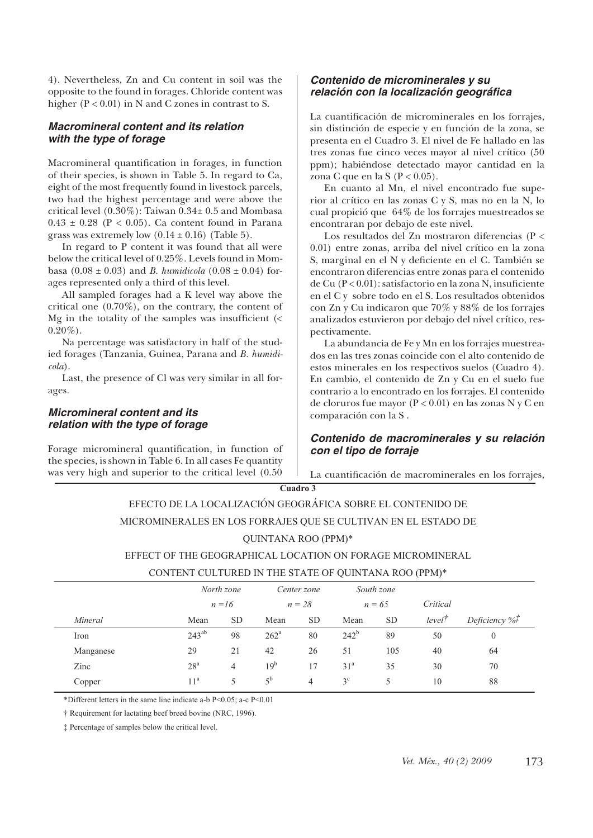4). Nevertheless, Zn and Cu content in soil was the opposite to the found in forages. Chloride content was higher (P < 0.01) in N and C zones in contrast to S.

## *Macromineral content and its relation with the type of forage*

Macromineral quantification in forages, in function of their species, is shown in Table 5. In regard to Ca, eight of the most frequently found in livestock parcels, two had the highest percentage and were above the critical level (0.30%): Taiwan 0.34± 0.5 and Mombasa  $0.43 \pm 0.28$  (P < 0.05). Ca content found in Parana grass was extremely low  $(0.14 \pm 0.16)$  (Table 5).

In regard to P content it was found that all were below the critical level of 0.25%. Levels found in Mombasa (0.08  $\pm$  0.03) and *B. humidicola* (0.08  $\pm$  0.04) forages represented only a third of this level.

All sampled forages had a K level way above the critical one (0.70%), on the contrary, the content of Mg in the totality of the samples was insufficient  $\langle \cdot \rangle$  $0.20\%$ ).

Na percentage was satisfactory in half of the studied forages (Tanzania, Guinea, Parana and *B. humidicola*).

Last, the presence of Cl was very similar in all forages.

#### *Micromineral content and its relation with the type of forage*

Forage micromineral quantification, in function of the species, is shown in Table 6. In all cases Fe quantity was very high and superior to the critical level (0.50

#### *Contenido de microminerales y su relación con la localización geográfi ca*

La cuantificación de microminerales en los forrajes, sin distinción de especie y en función de la zona, se presenta en el Cuadro 3. El nivel de Fe hallado en las tres zonas fue cinco veces mayor al nivel crítico (50 ppm); habiéndose detectado mayor cantidad en la zona C que en la S  $(P < 0.05)$ .

En cuanto al Mn, el nivel encontrado fue superior al crítico en las zonas C y S, mas no en la N, lo cual propició que 64% de los forrajes muestreados se encontraran por debajo de este nivel.

Los resultados del Zn mostraron diferencias (P < 0.01) entre zonas, arriba del nivel crítico en la zona S, marginal en el N y deficiente en el C. También se encontraron diferencias entre zonas para el contenido de Cu  $(P < 0.01)$ : satisfactorio en la zona N, insuficiente en el C y sobre todo en el S. Los resultados obtenidos con Zn y Cu indicaron que 70% y 88% de los forrajes analizados estuvieron por debajo del nivel crítico, respectivamente.

La abundancia de Fe y Mn en los forrajes muestreados en las tres zonas coincide con el alto contenido de estos minerales en los respectivos suelos (Cuadro 4). En cambio, el contenido de Zn y Cu en el suelo fue contrario a lo encontrado en los forrajes. El contenido de cloruros fue mayor (P < 0.01) en las zonas N y C en comparación con la S .

## *Contenido de macrominerales y su relación con el tipo de forraje*

La cuantificación de macrominerales en los forrajes,

#### **Cuadro 3**

# EFECTO DE LA LOCALIZACIÓN GEOGRÁFICA SOBRE EL CONTENIDO DE

## MICROMINERALES EN LOS FORRAJES QUE SE CULTIVAN EN EL ESTADO DE

## QUINTANA ROO (PPM)\*

#### EFFECT OF THE GEOGRAPHICAL LOCATION ON FORAGE MICROMINERAL

#### CONTENT CULTURED IN THE STATE OF QUINTANA ROO (PPM)\*

|           |                 | North zone     |                    | Center zone |                 | South zone |                    |                  |
|-----------|-----------------|----------------|--------------------|-------------|-----------------|------------|--------------------|------------------|
|           |                 | $n = 16$       |                    | $n = 28$    |                 | $n = 65$   | Critical           |                  |
| Mineral   | Mean            | <b>SD</b>      | Mean               | <b>SD</b>   | Mean            | <b>SD</b>  | level <sup>†</sup> | Deficiency $\%f$ |
| Iron      | $243^{ab}$      | 98             | $262^{\mathrm{a}}$ | 80          | $242^b$         | 89         | 50                 | $\mathbf{0}$     |
| Manganese | 29              | 21             | 42                 | 26          | 51              | 105        | 40                 | 64               |
| Zinc      | 28 <sup>a</sup> | $\overline{4}$ | 19 <sup>b</sup>    | 17          | 31 <sup>a</sup> | 35         | 30                 | 70               |
| Copper    | 11 <sup>a</sup> | 5              | $5^{\rm b}$        | 4           | $3^{\circ}$     | 5          | 10                 | 88               |
|           |                 |                |                    |             |                 |            |                    |                  |

\*Different letters in the same line indicate a-b P<0.05; a-c P<0.01

† Requirement for lactating beef breed bovine (NRC, 1996).

‡ Percentage of samples below the critical level.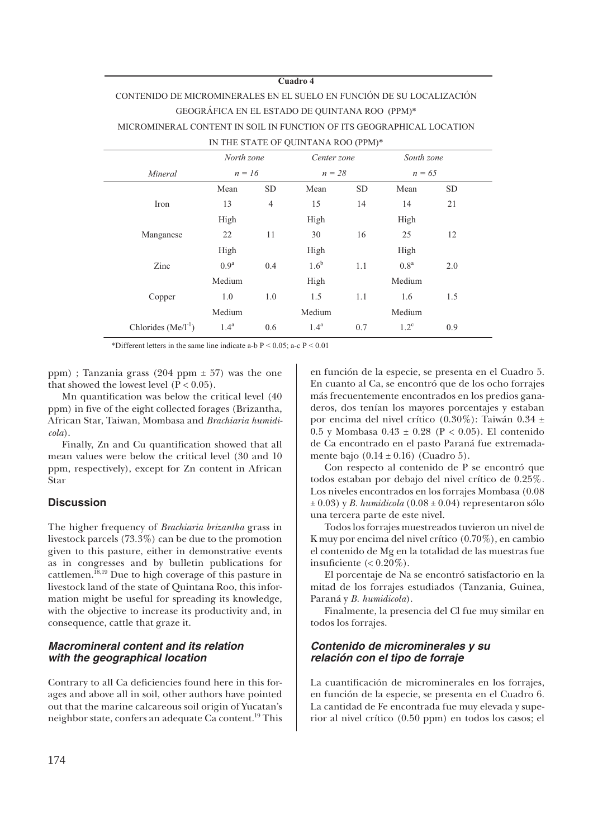#### **Cuadro 4**

# CONTENIDO DE MICROMINERALES EN EL SUELO EN FUNCIÓN DE SU LOCALIZACIÓN GEOGRÁFICA EN EL ESTADO DE QUINTANA ROO (PPM)\* MICROMINERAL CONTENT IN SOIL IN FUNCTION OF ITS GEOGRAPHICAL LOCATION

IN THE STATE OF QUINTANA ROO (PPM)\*

|                         | North zone       |                      | Center zone      |           | South zone       |           |
|-------------------------|------------------|----------------------|------------------|-----------|------------------|-----------|
| Mineral                 |                  | $n = 16$<br>$n = 28$ |                  |           | $n = 65$         |           |
|                         | Mean             | <b>SD</b>            | Mean             | <b>SD</b> | Mean             | <b>SD</b> |
| Iron                    | 13               | $\overline{4}$       | 15               | 14        | 14               | 21        |
|                         | High             |                      | High             |           | High             |           |
| Manganese               | 22               | 11                   | 30               | 16        | 25               | 12        |
|                         | High             |                      | High             |           | High             |           |
| Zinc                    | 0.9 <sup>a</sup> | 0.4                  | 1.6 <sup>b</sup> | 1.1       | 0.8 <sup>a</sup> | 2.0       |
|                         | Medium           |                      | High             |           | Medium           |           |
| Copper                  | 1.0              | 1.0                  | 1.5              | 1.1       | 1.6              | 1.5       |
|                         | Medium           |                      | Medium           |           | Medium           |           |
| Chlorides $(Me/I^{-1})$ | $1.4^{\rm a}$    | 0.6                  | 1.4 <sup>a</sup> | 0.7       | $1.2^{\circ}$    | 0.9       |

\*Different letters in the same line indicate a-b  $P < 0.05$ ; a-c  $P < 0.01$ 

ppm) ; Tanzania grass (204 ppm ± 57) was the one that showed the lowest level  $(P < 0.05)$ .

Mn quantification was below the critical level (40 ppm) in five of the eight collected forages (Brizantha, African Star, Taiwan, Mombasa and *Brachiaria humidicola*).

Finally, Zn and Cu quantification showed that all mean values were below the critical level (30 and 10 ppm, respectively), except for Zn content in African Star

#### **Discussion**

The higher frequency of *Brachiaria brizantha* grass in livestock parcels (73.3%) can be due to the promotion given to this pasture, either in demonstrative events as in congresses and by bulletin publications for cattlemen.<sup>18,19</sup> Due to high coverage of this pasture in livestock land of the state of Quintana Roo, this information might be useful for spreading its knowledge, with the objective to increase its productivity and, in consequence, cattle that graze it.

#### *Macromineral content and its relation with the geographical location*

Contrary to all Ca deficiencies found here in this forages and above all in soil, other authors have pointed out that the marine calcareous soil origin of Yucatan's neighbor state, confers an adequate Ca content.19 This

en función de la especie, se presenta en el Cuadro 5. En cuanto al Ca, se encontró que de los ocho forrajes más frecuentemente encontrados en los predios ganaderos, dos tenían los mayores porcentajes y estaban por encima del nivel crítico (0.30%): Taiwán 0.34 ± 0.5 y Mombasa 0.43 ± 0.28 (P < 0.05). El contenido de Ca encontrado en el pasto Paraná fue extremadamente bajo  $(0.14 \pm 0.16)$  (Cuadro 5).

Con respecto al contenido de P se encontró que todos estaban por debajo del nivel crítico de 0.25%. Los niveles encontrados en los forrajes Mombasa (0.08  $\pm$  0.03) y *B. humidicola* (0.08 $\pm$  0.04) representaron sólo una tercera parte de este nivel.

Todos los forrajes muestreados tuvieron un nivel de K muy por encima del nivel crítico (0.70%), en cambio el contenido de Mg en la totalidad de las muestras fue insuficiente  $( $0.20\%$ ).$ 

El porcentaje de Na se encontró satisfactorio en la mitad de los forrajes estudiados (Tanzania, Guinea, Paraná y *B. humidicola*).

Finalmente, la presencia del Cl fue muy similar en todos los forrajes.

#### *Contenido de microminerales y su relación con el tipo de forraje*

La cuantificación de microminerales en los forrajes, en función de la especie, se presenta en el Cuadro 6. La cantidad de Fe encontrada fue muy elevada y superior al nivel crítico (0.50 ppm) en todos los casos; el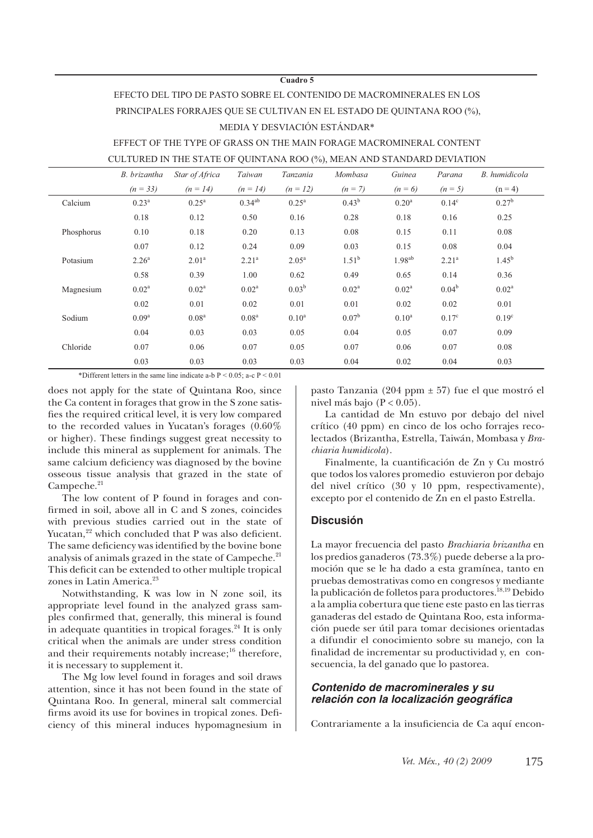#### **Cuadro 5**

## EFECTO DEL TIPO DE PASTO SOBRE EL CONTENIDO DE MACROMINERALES EN LOS PRINCIPALES FORRAJES QUE SE CULTIVAN EN EL ESTADO DE QUINTANA ROO (%), MEDIA Y DESVIACIÓN ESTÁNDAR\*

EFFECT OF THE TYPE OF GRASS ON THE MAIN FORAGE MACROMINERAL CONTENT CULTURED IN THE STATE OF QUINTANA ROO (%), MEAN AND STANDARD DEVIATION

|            | B. brizantha      | Star of Africa    | Taiwan            | Tanzania          | Mombasa           | Guinea            | Parana            | B. humidicola     |
|------------|-------------------|-------------------|-------------------|-------------------|-------------------|-------------------|-------------------|-------------------|
|            | $(n = 33)$        | $(n = 14)$        | $(n = 14)$        | $(n = 12)$        | $(n = 7)$         | $(n = 6)$         | $(n = 5)$         | $(n = 4)$         |
| Calcium    | $0.23^{\rm a}$    | $0.25^{\rm a}$    | $0.34^{ab}$       | $0.25^{\rm a}$    | $0.43^{b}$        | 0.20 <sup>a</sup> | $0.14^{\circ}$    | $0.27^{b}$        |
|            | 0.18              | 0.12              | 0.50              | 0.16              | 0.28              | 0.18              | 0.16              | 0.25              |
| Phosphorus | 0.10              | 0.18              | 0.20              | 0.13              | 0.08              | 0.15              | 0.11              | 0.08              |
|            | 0.07              | 0.12              | 0.24              | 0.09              | 0.03              | 0.15              | 0.08              | 0.04              |
| Potasium   | 2.26 <sup>a</sup> | 2.01 <sup>a</sup> | 2.21 <sup>a</sup> | $2.05^{\rm a}$    | $1.51^{b}$        | $1.98^{ab}$       | 2.21 <sup>a</sup> | $1.45^{\rm b}$    |
|            | 0.58              | 0.39              | 1.00              | 0.62              | 0.49              | 0.65              | 0.14              | 0.36              |
| Magnesium  | $0.02^a$          | $0.02^a$          | $0.02^{\rm a}$    | 0.03 <sup>b</sup> | $0.02^{\text{a}}$ | 0.02 <sup>a</sup> | $0.04^{b}$        | $0.02^{\rm a}$    |
|            | 0.02              | 0.01              | 0.02              | 0.01              | 0.01              | 0.02              | 0.02              | 0.01              |
| Sodium     | $0.09^{\rm a}$    | 0.08 <sup>a</sup> | 0.08 <sup>a</sup> | 0.10 <sup>a</sup> | $0.07^{\rm b}$    | $0.10^a$          | $0.17^{\circ}$    | 0.19 <sup>c</sup> |
|            | 0.04              | 0.03              | 0.03              | 0.05              | 0.04              | 0.05              | 0.07              | 0.09              |
| Chloride   | 0.07              | 0.06              | 0.07              | 0.05              | 0.07              | 0.06              | 0.07              | 0.08              |
|            | 0.03              | 0.03              | 0.03              | 0.03              | 0.04              | 0.02              | 0.04              | 0.03              |

\*Different letters in the same line indicate a-b  $P \le 0.05$ ; a-c  $P \le 0.01$ 

does not apply for the state of Quintana Roo, since the Ca content in forages that grow in the S zone satisfies the required critical level, it is very low compared to the recorded values in Yucatan's forages (0.60% or higher). These findings suggest great necessity to include this mineral as supplement for animals. The same calcium deficiency was diagnosed by the bovine osseous tissue analysis that grazed in the state of Campeche.<sup>21</sup>

The low content of P found in forages and confirmed in soil, above all in C and S zones, coincides with previous studies carried out in the state of Yucatan,<sup>22</sup> which concluded that P was also deficient. The same deficiency was identified by the bovine bone analysis of animals grazed in the state of Campeche.<sup>21</sup> This deficit can be extended to other multiple tropical zones in Latin America.<sup>23</sup>

Notwithstanding, K was low in N zone soil, its appropriate level found in the analyzed grass samples confirmed that, generally, this mineral is found in adequate quantities in tropical forages. $24$  It is only critical when the animals are under stress condition and their requirements notably increase; $^{16}$  therefore, it is necessary to supplement it.

The Mg low level found in forages and soil draws attention, since it has not been found in the state of Quintana Roo. In general, mineral salt commercial firms avoid its use for bovines in tropical zones. Deficiency of this mineral induces hypomagnesium in

pasto Tanzania (204 ppm ± 57) fue el que mostró el nivel más bajo ( $P < 0.05$ ).

La cantidad de Mn estuvo por debajo del nivel crítico (40 ppm) en cinco de los ocho forrajes recolectados (Brizantha, Estrella, Taiwán, Mombasa y *Brachiaria humidicola*).

Finalmente, la cuantificación de Zn y Cu mostró que todos los valores promedio estuvieron por debajo del nivel crítico (30 y 10 ppm, respectivamente), excepto por el contenido de Zn en el pasto Estrella.

#### **Discusión**

La mayor frecuencia del pasto *Brachiaria brizantha* en los predios ganaderos (73.3%) puede deberse a la promoción que se le ha dado a esta gramínea, tanto en pruebas demostrativas como en congresos y mediante la publicación de folletos para productores.<sup>18,19</sup> Debido a la amplia cobertura que tiene este pasto en las tierras ganaderas del estado de Quintana Roo, esta información puede ser útil para tomar decisiones orientadas a difundir el conocimiento sobre su manejo, con la finalidad de incrementar su productividad y, en consecuencia, la del ganado que lo pastorea.

#### *Contenido de macrominerales y su* relación con la localización geográfica

Contrariamente a la insuficiencia de Ca aquí encon-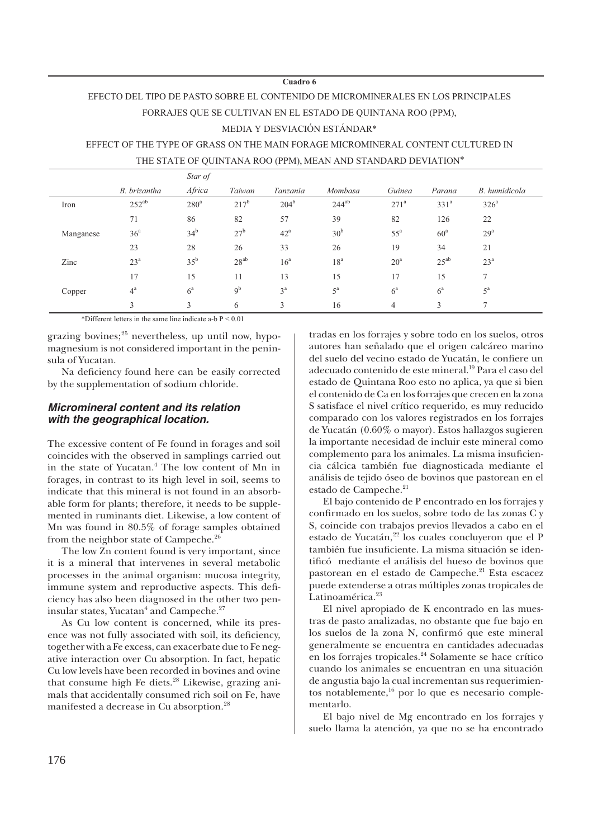#### **Cuadro 6**

# EFECTO DEL TIPO DE PASTO SOBRE EL CONTENIDO DE MICROMINERALES EN LOS PRINCIPALES FORRAJES QUE SE CULTIVAN EN EL ESTADO DE QUINTANA ROO (PPM),

#### MEDIA Y DESVIACIÓN ESTÁNDAR\*

EFFECT OF THE TYPE OF GRASS ON THE MAIN FORAGE MICROMINERAL CONTENT CULTURED IN

|           |                  | Star of         |                 |                 |                 |                  |                  |                  |
|-----------|------------------|-----------------|-----------------|-----------------|-----------------|------------------|------------------|------------------|
|           | B. brizantha     | Africa          | Taiwan          | Tanzania        | Mombasa         | Guinea           | Parana           | B. humidicola    |
| Iron      | $252^{ab}$       | $280^a$         | $217^b$         | $204^{\rm b}$   | $244^{ab}$      | 271 <sup>a</sup> | 331 <sup>a</sup> | 326 <sup>a</sup> |
|           | 71               | 86              | 82              | 57              | 39              | 82               | 126              | 22               |
| Manganese | 36 <sup>a</sup>  | 34 <sup>b</sup> | 27 <sup>b</sup> | $42^{\rm a}$    | 30 <sup>b</sup> | $55^{\rm a}$     | 60 <sup>a</sup>  | 29 <sup>a</sup>  |
|           | 23               | 28              | 26              | 33              | 26              | 19               | 34               | 21               |
| Zinc      | 23 <sup>a</sup>  | 35 <sup>b</sup> | $28^{ab}$       | 16 <sup>a</sup> | 18 <sup>a</sup> | 20 <sup>a</sup>  | $25^{ab}$        | 23 <sup>a</sup>  |
|           | 17               | 15              | 11              | 13              | 15              | 17               | 15               | 7                |
| Copper    | $4^{\mathrm{a}}$ | $6^{\rm a}$     | 9 <sup>b</sup>  | 3 <sup>a</sup>  | $5^{\rm a}$     | $6^{\rm a}$      | $6^{\mathrm{a}}$ | $5^{\rm a}$      |
|           | 3                | 3               | 6               | 3               | 16              | 4                | 3                | 7                |

THE STATE OF QUINTANA ROO (PPM), MEAN AND STANDARD DEVIATION\*

\*Different letters in the same line indicate a-b  $P \le 0.01$ 

grazing bovines; $^{25}$  nevertheless, up until now, hypomagnesium is not considered important in the peninsula of Yucatan.

Na deficiency found here can be easily corrected by the supplementation of sodium chloride.

#### *Micromineral content and its relation with the geographical location.*

The excessive content of Fe found in forages and soil coincides with the observed in samplings carried out in the state of Yucatan.<sup>4</sup> The low content of Mn in forages, in contrast to its high level in soil, seems to indicate that this mineral is not found in an absorbable form for plants; therefore, it needs to be supplemented in ruminants diet. Likewise, a low content of Mn was found in 80.5% of forage samples obtained from the neighbor state of Campeche.<sup>26</sup>

The low Zn content found is very important, since it is a mineral that intervenes in several metabolic processes in the animal organism: mucosa integrity, immune system and reproductive aspects. This deficiency has also been diagnosed in the other two peninsular states, Yucatan $^4$  and Campeche. $^{27}$ 

As Cu low content is concerned, while its presence was not fully associated with soil, its deficiency, together with a Fe excess, can exacerbate due to Fe negative interaction over Cu absorption. In fact, hepatic Cu low levels have been recorded in bovines and ovine that consume high Fe diets.<sup>28</sup> Likewise, grazing animals that accidentally consumed rich soil on Fe, have manifested a decrease in Cu absorption.<sup>28</sup>

tradas en los forrajes y sobre todo en los suelos, otros autores han señalado que el origen calcáreo marino del suelo del vecino estado de Yucatán, le confiere un adecuado contenido de este mineral.19 Para el caso del estado de Quintana Roo esto no aplica, ya que si bien el contenido de Ca en los forrajes que crecen en la zona S satisface el nivel crítico requerido, es muy reducido comparado con los valores registrados en los forrajes de Yucatán (0.60% o mayor). Estos hallazgos sugieren la importante necesidad de incluir este mineral como complemento para los animales. La misma insuficiencia cálcica también fue diagnosticada mediante el análisis de tejido óseo de bovinos que pastorean en el estado de Campeche.<sup>21</sup>

El bajo contenido de P encontrado en los forrajes y confirmado en los suelos, sobre todo de las zonas C y S, coincide con trabajos previos llevados a cabo en el estado de Yucatán,<sup>22</sup> los cuales concluyeron que el P también fue insuficiente. La misma situación se identificó mediante el análisis del hueso de bovinos que pastorean en el estado de Campeche.<sup>21</sup> Esta escacez puede extenderse a otras múltiples zonas tropicales de Latinoamérica.<sup>23</sup>

El nivel apropiado de K encontrado en las muestras de pasto analizadas, no obstante que fue bajo en los suelos de la zona N, confirmó que este mineral generalmente se encuentra en cantidades adecuadas en los forrajes tropicales.<sup>24</sup> Solamente se hace crítico cuando los animales se encuentran en una situación de angustia bajo la cual incrementan sus requerimientos notablemente,<sup>16</sup> por lo que es necesario complementarlo.

El bajo nivel de Mg encontrado en los forrajes y suelo llama la atención, ya que no se ha encontrado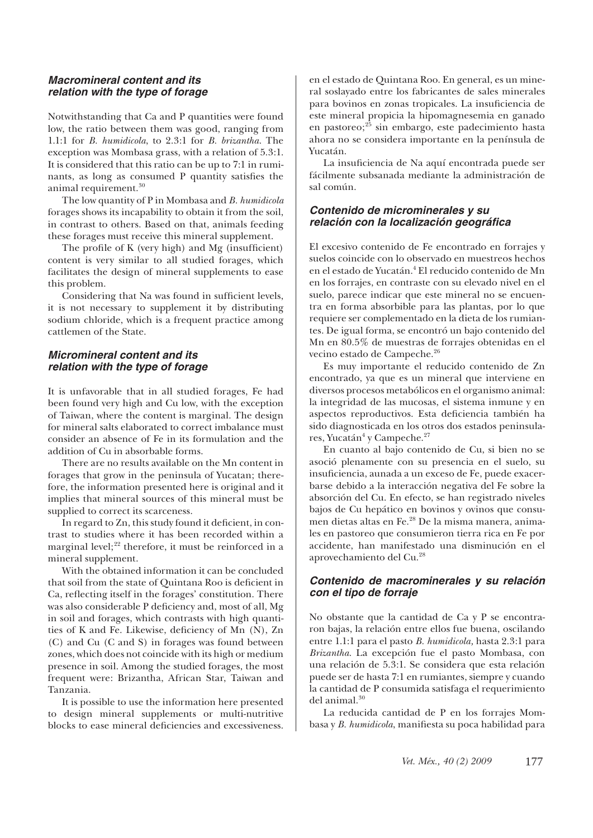#### *Macromineral content and its relation with the type of forage*

Notwithstanding that Ca and P quantities were found low, the ratio between them was good, ranging from 1.1:1 for *B. humidicola*, to 2.3:1 for *B. brizantha*. The exception was Mombasa grass, with a relation of 5.3:1. It is considered that this ratio can be up to 7:1 in ruminants, as long as consumed P quantity satisfies the animal requirement.<sup>30</sup>

The low quantity of P in Mombasa and *B. humidicola* forages shows its incapability to obtain it from the soil, in contrast to others. Based on that, animals feeding these forages must receive this mineral supplement.

The profile of K (very high) and Mg (insufficient) content is very similar to all studied forages, which facilitates the design of mineral supplements to ease this problem.

Considering that Na was found in sufficient levels, it is not necessary to supplement it by distributing sodium chloride, which is a frequent practice among cattlemen of the State.

#### *Micromineral content and its relation with the type of forage*

It is unfavorable that in all studied forages, Fe had been found very high and Cu low, with the exception of Taiwan, where the content is marginal. The design for mineral salts elaborated to correct imbalance must consider an absence of Fe in its formulation and the addition of Cu in absorbable forms.

There are no results available on the Mn content in forages that grow in the peninsula of Yucatan; therefore, the information presented here is original and it implies that mineral sources of this mineral must be supplied to correct its scarceness.

In regard to Zn, this study found it deficient, in contrast to studies where it has been recorded within a marginal level; $^{22}$  therefore, it must be reinforced in a mineral supplement.

With the obtained information it can be concluded that soil from the state of Quintana Roo is deficient in Ca, reflecting itself in the forages' constitution. There was also considerable P deficiency and, most of all, Mg in soil and forages, which contrasts with high quantities of K and Fe. Likewise, deficiency of Mn (N), Zn (C) and Cu (C and S) in forages was found between zones, which does not coincide with its high or medium presence in soil. Among the studied forages, the most frequent were: Brizantha, African Star, Taiwan and Tanzania.

It is possible to use the information here presented to design mineral supplements or multi-nutritive blocks to ease mineral deficiencies and excessiveness. en el estado de Quintana Roo. En general, es un mineral soslayado entre los fabricantes de sales minerales para bovinos en zonas tropicales. La insuficiencia de este mineral propicia la hipomagnesemia en ganado en pastoreo;<sup>25</sup> sin embargo, este padecimiento hasta ahora no se considera importante en la península de Yucatán.

La insuficiencia de Na aquí encontrada puede ser fácilmente subsanada mediante la administración de sal común.

#### *Contenido de microminerales y su relación con la localización geográfi ca*

El excesivo contenido de Fe encontrado en forrajes y suelos coincide con lo observado en muestreos hechos en el estado de Yucatán.<sup>4</sup> El reducido contenido de Mn en los forrajes, en contraste con su elevado nivel en el suelo, parece indicar que este mineral no se encuentra en forma absorbible para las plantas, por lo que requiere ser complementado en la dieta de los rumiantes. De igual forma, se encontró un bajo contenido del Mn en 80.5% de muestras de forrajes obtenidas en el vecino estado de Campeche.<sup>26</sup>

Es muy importante el reducido contenido de Zn encontrado, ya que es un mineral que interviene en diversos procesos metabólicos en el organismo animal: la integridad de las mucosas, el sistema inmune y en aspectos reproductivos. Esta deficiencia también ha sido diagnosticada en los otros dos estados peninsulares, Yucatán<sup>4</sup> y Campeche.<sup>27</sup>

En cuanto al bajo contenido de Cu, si bien no se asoció plenamente con su presencia en el suelo, su insuficiencia, aunada a un exceso de Fe, puede exacerbarse debido a la interacción negativa del Fe sobre la absorción del Cu. En efecto, se han registrado niveles bajos de Cu hepático en bovinos y ovinos que consumen dietas altas en Fe.28 De la misma manera, animales en pastoreo que consumieron tierra rica en Fe por accidente, han manifestado una disminución en el aprovechamiento del Cu.<sup>28</sup>

#### *Contenido de macrominerales y su relación con el tipo de forraje*

No obstante que la cantidad de Ca y P se encontraron bajas, la relación entre ellos fue buena, oscilando entre 1.1:1 para el pasto *B. humidicola,* hasta 2.3:1 para *Brizantha*. La excepción fue el pasto Mombasa, con una relación de 5.3:1. Se considera que esta relación puede ser de hasta 7:1 en rumiantes, siempre y cuando la cantidad de P consumida satisfaga el requerimiento del animal.<sup>30</sup>

La reducida cantidad de P en los forrajes Mombasa y *B. humidicola*, manifiesta su poca habilidad para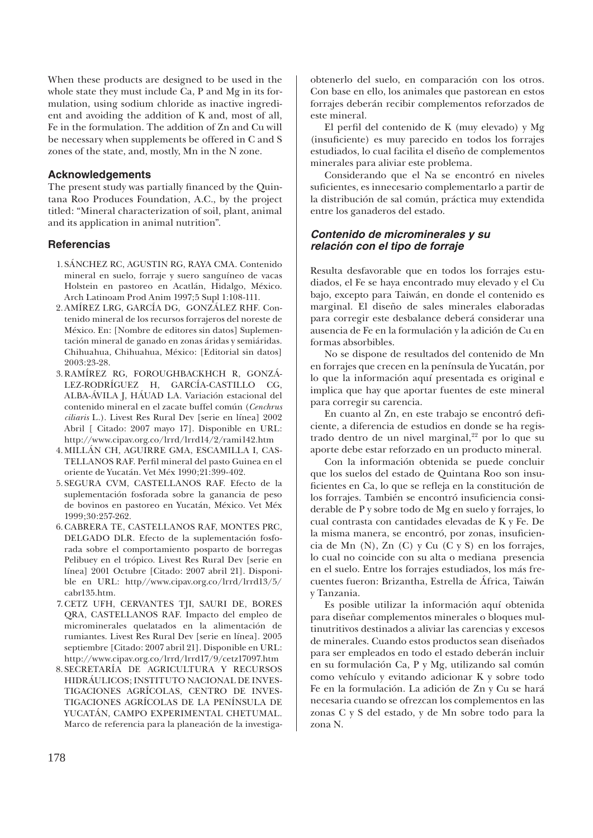When these products are designed to be used in the whole state they must include Ca, P and Mg in its formulation, using sodium chloride as inactive ingredient and avoiding the addition of K and, most of all, Fe in the formulation. The addition of Zn and Cu will be necessary when supplements be offered in C and S zones of the state, and, mostly, Mn in the N zone.

#### **Acknowledgements**

The present study was partially financed by the Quintana Roo Produces Foundation, A.C., by the project titled: "Mineral characterization of soil, plant, animal and its application in animal nutrition".

#### **Referencias**

- SÁNCHEZ RC, AGUSTIN RG, RAYA CMA. Contenido 1. mineral en suelo, forraje y suero sanguíneo de vacas Holstein en pastoreo en Acatlán, Hidalgo, México. Arch Latinoam Prod Anim 1997;5 Supl 1:108-111.
- AMÍREZ LRG, GARCÍA DG, GONZÁLEZ RHF. Con-2. tenido mineral de los recursos forrajeros del noreste de México. En: [Nombre de editores sin datos] Suplementación mineral de ganado en zonas áridas y semiáridas. Chihuahua, Chihuahua, México: [Editorial sin datos] 2003:23-28.
- RAMÍREZ RG, FOROUGHBACKHCH R, GONZÁ-3. LEZ-RODRÍGUEZ H, GARCÍA-CASTILLO CG, ALBA-ÁVILA J, HÁUAD LA. Variación estacional del contenido mineral en el zacate buffel común (*Cenchrus ciliaris* L.). Livest Res Rural Dev [serie en línea] 2002 Abril [ Citado: 2007 mayo 17]. Disponible en URL: http://www.cipav.org.co/lrrd/lrrd14/2/rami142.htm
- MILLÁN CH, AGUIRRE GMA, ESCAMILLA I, CAS-4. TELLANOS RAF. Perfil mineral del pasto Guinea en el oriente de Yucatán. Vet Méx 1990;21:399-402.
- SEGURA CVM, CASTELLANOS RAF. Efecto de la 5. suplementación fosforada sobre la ganancia de peso de bovinos en pastoreo en Yucatán, México. Vet Méx 1999;30:257-262.
- CABRERA TE, CASTELLANOS RAF, MONTES PRC, 6. DELGADO DLR. Efecto de la suplementación fosforada sobre el comportamiento posparto de borregas Pelibuey en el trópico. Livest Res Rural Dev [serie en línea] 2001 Octubre [Citado: 2007 abril 21]. Disponible en URL: http//www.cipav.org.co/lrrd/lrrd13/5/ cabr135.htm.
- 7.CETZ UFH, CERVANTES TJI, SAURI DE, BORES QRA, CASTELLANOS RAF. Impacto del empleo de microminerales quelatados en la alimentación de rumiantes. Livest Res Rural Dev [serie en línea]. 2005 septiembre [Citado: 2007 abril 21]. Disponible en URL: http://www.cipav.org.co/lrrd/lrrd17/9/cetz17097.htm
- SECRETARÍA DE AGRICULTURA Y RECURSOS 8.HIDRÁULICOS; INSTITUTO NACIONAL DE INVES-TIGACIONES AGRÍCOLAS, CENTRO DE INVES-TIGACIONES AGRÍCOLAS DE LA PENÍNSULA DE YUCATÁN, CAMPO EXPERIMENTAL CHETUMAL. Marco de referencia para la planeación de la investiga-

obtenerlo del suelo, en comparación con los otros. Con base en ello, los animales que pastorean en estos forrajes deberán recibir complementos reforzados de este mineral.

El perfil del contenido de K (muy elevado) y Mg (insufi ciente) es muy parecido en todos los forrajes estudiados, lo cual facilita el diseño de complementos minerales para aliviar este problema.

Considerando que el Na se encontró en niveles suficientes, es innecesario complementarlo a partir de la distribución de sal común, práctica muy extendida entre los ganaderos del estado.

## *Contenido de microminerales y su relación con el tipo de forraje*

Resulta desfavorable que en todos los forrajes estudiados, el Fe se haya encontrado muy elevado y el Cu bajo, excepto para Taiwán, en donde el contenido es marginal. El diseño de sales minerales elaboradas para corregir este desbalance deberá considerar una ausencia de Fe en la formulación y la adición de Cu en formas absorbibles.

No se dispone de resultados del contenido de Mn en forrajes que crecen en la península de Yucatán, por lo que la información aquí presentada es original e implica que hay que aportar fuentes de este mineral para corregir su carencia.

En cuanto al Zn, en este trabajo se encontró deficiente, a diferencia de estudios en donde se ha registrado dentro de un nivel marginal, $22$  por lo que su aporte debe estar reforzado en un producto mineral.

Con la información obtenida se puede concluir que los suelos del estado de Quintana Roo son insuficientes en Ca, lo que se refleja en la constitución de los forrajes. También se encontró insuficiencia considerable de P y sobre todo de Mg en suelo y forrajes, lo cual contrasta con cantidades elevadas de K y Fe. De la misma manera, se encontró, por zonas, insuficiencia de Mn (N), Zn (C) y Cu (C y S) en los forrajes, lo cual no coincide con su alta o mediana presencia en el suelo. Entre los forrajes estudiados, los más frecuentes fueron: Brizantha, Estrella de África, Taiwán y Tanzania.

Es posible utilizar la información aquí obtenida para diseñar complementos minerales o bloques multinutritivos destinados a aliviar las carencias y excesos de minerales. Cuando estos productos sean diseñados para ser empleados en todo el estado deberán incluir en su formulación Ca, P y Mg, utilizando sal común como vehículo y evitando adicionar K y sobre todo Fe en la formulación. La adición de Zn y Cu se hará necesaria cuando se ofrezcan los complementos en las zonas C y S del estado, y de Mn sobre todo para la zona N.